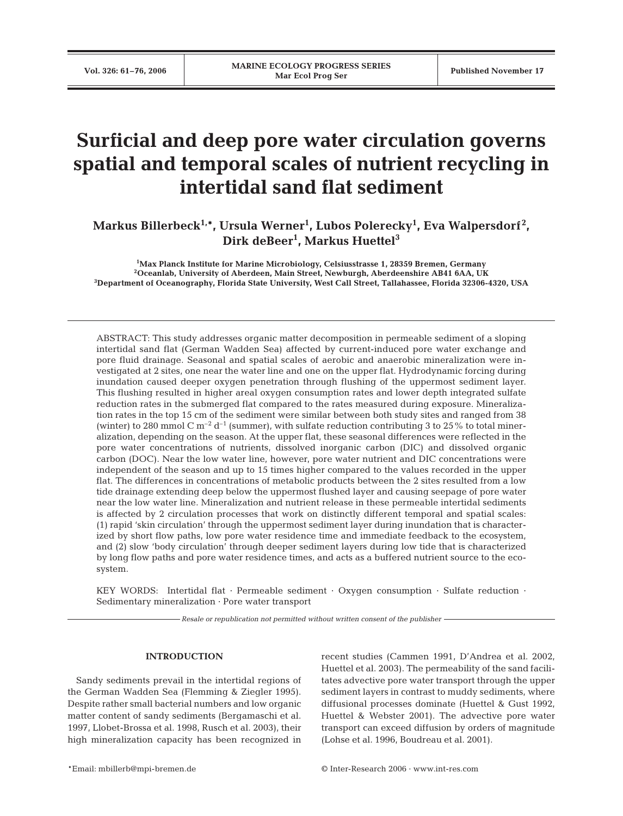# **Surficial and deep pore water circulation governs spatial and temporal scales of nutrient recycling in intertidal sand flat sediment**

**Markus Billerbeck1,\*, Ursula Werner1 , Lubos Polerecky1 , Eva Walpersdorf <sup>2</sup> , Dirk deBeer1 , Markus Huettel3**

**1 Max Planck Institute for Marine Microbiology, Celsiusstrasse 1, 28359 Bremen, Germany 2 Oceanlab, University of Aberdeen, Main Street, Newburgh, Aberdeenshire AB41 6AA, UK 3 Department of Oceanography, Florida State University, West Call Street, Tallahassee, Florida 32306-4320, USA**

ABSTRACT: This study addresses organic matter decomposition in permeable sediment of a sloping intertidal sand flat (German Wadden Sea) affected by current-induced pore water exchange and pore fluid drainage. Seasonal and spatial scales of aerobic and anaerobic mineralization were investigated at 2 sites, one near the water line and one on the upper flat. Hydrodynamic forcing during inundation caused deeper oxygen penetration through flushing of the uppermost sediment layer. This flushing resulted in higher areal oxygen consumption rates and lower depth integrated sulfate reduction rates in the submerged flat compared to the rates measured during exposure. Mineralization rates in the top 15 cm of the sediment were similar between both study sites and ranged from 38 (winter) to 280 mmol C m<sup>-2</sup> d<sup>-1</sup> (summer), with sulfate reduction contributing 3 to 25% to total mineralization, depending on the season. At the upper flat, these seasonal differences were reflected in the pore water concentrations of nutrients, dissolved inorganic carbon (DIC) and dissolved organic carbon (DOC). Near the low water line, however, pore water nutrient and DIC concentrations were independent of the season and up to 15 times higher compared to the values recorded in the upper flat. The differences in concentrations of metabolic products between the 2 sites resulted from a low tide drainage extending deep below the uppermost flushed layer and causing seepage of pore water near the low water line. Mineralization and nutrient release in these permeable intertidal sediments is affected by 2 circulation processes that work on distinctly different temporal and spatial scales: (1) rapid 'skin circulation' through the uppermost sediment layer during inundation that is characterized by short flow paths, low pore water residence time and immediate feedback to the ecosystem, and (2) slow 'body circulation' through deeper sediment layers during low tide that is characterized by long flow paths and pore water residence times, and acts as a buffered nutrient source to the ecosystem.

KEY WORDS: Intertidal flat · Permeable sediment · Oxygen consumption · Sulfate reduction · Sedimentary mineralization · Pore water transport

*Resale or republication not permitted without written consent of the publisher*

# **INTRODUCTION**

Sandy sediments prevail in the intertidal regions of the German Wadden Sea (Flemming & Ziegler 1995). Despite rather small bacterial numbers and low organic matter content of sandy sediments (Bergamaschi et al. 1997, Llobet-Brossa et al. 1998, Rusch et al. 2003), their high mineralization capacity has been recognized in recent studies (Cammen 1991, D'Andrea et al. 2002, Huettel et al. 2003). The permeability of the sand facilitates advective pore water transport through the upper sediment layers in contrast to muddy sediments, where diffusional processes dominate (Huettel & Gust 1992, Huettel & Webster 2001). The advective pore water transport can exceed diffusion by orders of magnitude (Lohse et al. 1996, Boudreau et al. 2001).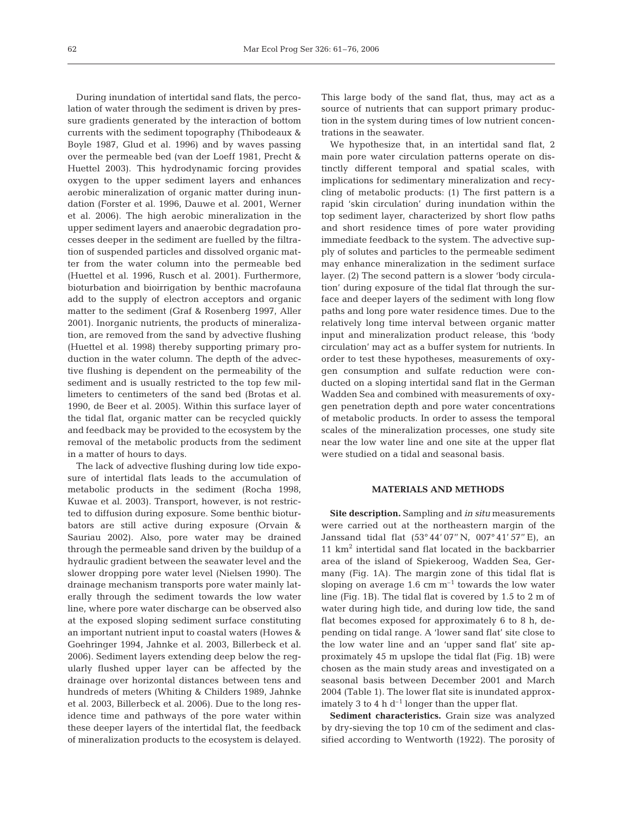During inundation of intertidal sand flats, the percolation of water through the sediment is driven by pressure gradients generated by the interaction of bottom currents with the sediment topography (Thibodeaux & Boyle 1987, Glud et al. 1996) and by waves passing over the permeable bed (van der Loeff 1981, Precht & Huettel 2003). This hydrodynamic forcing provides oxygen to the upper sediment layers and enhances aerobic mineralization of organic matter during inundation (Forster et al. 1996, Dauwe et al. 2001, Werner et al. 2006). The high aerobic mineralization in the upper sediment layers and anaerobic degradation processes deeper in the sediment are fuelled by the filtration of suspended particles and dissolved organic matter from the water column into the permeable bed (Huettel et al. 1996, Rusch et al. 2001). Furthermore, bioturbation and bioirrigation by benthic macrofauna add to the supply of electron acceptors and organic matter to the sediment (Graf & Rosenberg 1997, Aller 2001). Inorganic nutrients, the products of mineralization, are removed from the sand by advective flushing (Huettel et al. 1998) thereby supporting primary production in the water column. The depth of the advective flushing is dependent on the permeability of the sediment and is usually restricted to the top few millimeters to centimeters of the sand bed (Brotas et al. 1990, de Beer et al. 2005). Within this surface layer of the tidal flat, organic matter can be recycled quickly and feedback may be provided to the ecosystem by the removal of the metabolic products from the sediment in a matter of hours to days.

The lack of advective flushing during low tide exposure of intertidal flats leads to the accumulation of metabolic products in the sediment (Rocha 1998, Kuwae et al. 2003). Transport, however, is not restricted to diffusion during exposure. Some benthic bioturbators are still active during exposure (Orvain & Sauriau 2002). Also, pore water may be drained through the permeable sand driven by the buildup of a hydraulic gradient between the seawater level and the slower dropping pore water level (Nielsen 1990). The drainage mechanism transports pore water mainly laterally through the sediment towards the low water line, where pore water discharge can be observed also at the exposed sloping sediment surface constituting an important nutrient input to coastal waters (Howes & Goehringer 1994, Jahnke et al. 2003, Billerbeck et al. 2006). Sediment layers extending deep below the regularly flushed upper layer can be affected by the drainage over horizontal distances between tens and hundreds of meters (Whiting & Childers 1989, Jahnke et al. 2003, Billerbeck et al. 2006). Due to the long residence time and pathways of the pore water within these deeper layers of the intertidal flat, the feedback of mineralization products to the ecosystem is delayed. This large body of the sand flat, thus, may act as a source of nutrients that can support primary production in the system during times of low nutrient concentrations in the seawater.

We hypothesize that, in an intertidal sand flat, 2 main pore water circulation patterns operate on distinctly different temporal and spatial scales, with implications for sedimentary mineralization and recycling of metabolic products: (1) The first pattern is a rapid 'skin circulation' during inundation within the top sediment layer, characterized by short flow paths and short residence times of pore water providing immediate feedback to the system. The advective supply of solutes and particles to the permeable sediment may enhance mineralization in the sediment surface layer. (2) The second pattern is a slower 'body circulation' during exposure of the tidal flat through the surface and deeper layers of the sediment with long flow paths and long pore water residence times. Due to the relatively long time interval between organic matter input and mineralization product release, this 'body circulation' may act as a buffer system for nutrients. In order to test these hypotheses, measurements of oxygen consumption and sulfate reduction were conducted on a sloping intertidal sand flat in the German Wadden Sea and combined with measurements of oxygen penetration depth and pore water concentrations of metabolic products. In order to assess the temporal scales of the mineralization processes, one study site near the low water line and one site at the upper flat were studied on a tidal and seasonal basis.

# **MATERIALS AND METHODS**

**Site description.** Sampling and *in situ* measurements were carried out at the northeastern margin of the Janssand tidal flat (53° 44' 07'' N, 007° 41' 57'' E), an  $11 \text{ km}^2$  intertidal sand flat located in the backbarrier area of the island of Spiekeroog, Wadden Sea, Germany (Fig. 1A). The margin zone of this tidal flat is sloping on average  $1.6 \text{ cm m}^{-1}$  towards the low water line (Fig. 1B). The tidal flat is covered by 1.5 to 2 m of water during high tide, and during low tide, the sand flat becomes exposed for approximately 6 to 8 h, depending on tidal range. A 'lower sand flat' site close to the low water line and an 'upper sand flat' site approximately 45 m upslope the tidal flat (Fig. 1B) were chosen as the main study areas and investigated on a seasonal basis between December 2001 and March 2004 (Table 1). The lower flat site is inundated approximately 3 to 4 h  $d^{-1}$  longer than the upper flat.

**Sediment characteristics.** Grain size was analyzed by dry-sieving the top 10 cm of the sediment and classified according to Wentworth (1922). The porosity of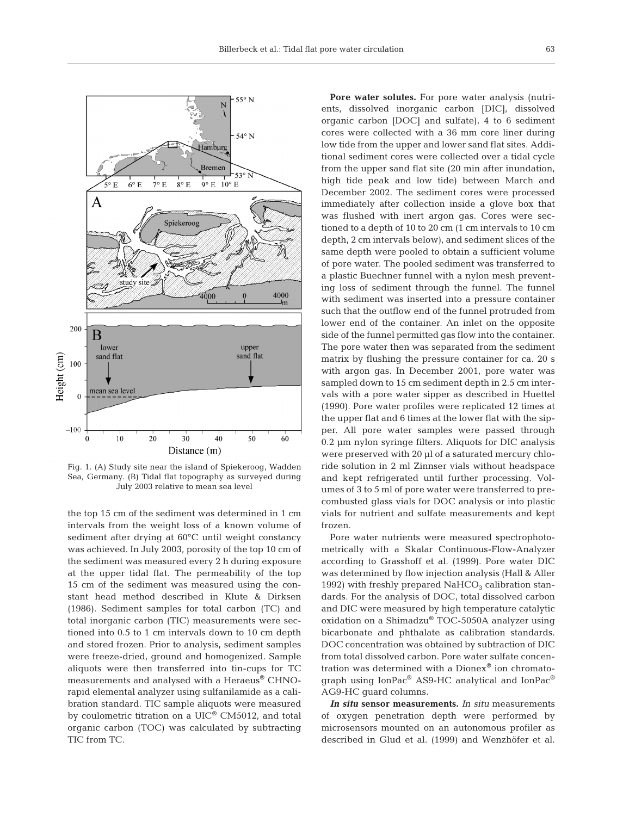

Fig. 1. (A) Study site near the island of Spiekeroog, Wadden Sea, Germany. (B) Tidal flat topography as surveyed during July 2003 relative to mean sea level

the top 15 cm of the sediment was determined in 1 cm intervals from the weight loss of a known volume of sediment after drying at 60°C until weight constancy was achieved. In July 2003, porosity of the top 10 cm of the sediment was measured every 2 h during exposure at the upper tidal flat. The permeability of the top 15 cm of the sediment was measured using the constant head method described in Klute & Dirksen (1986). Sediment samples for total carbon (TC) and total inorganic carbon (TIC) measurements were sectioned into 0.5 to 1 cm intervals down to 10 cm depth and stored frozen. Prior to analysis, sediment samples were freeze-dried, ground and homogenized. Sample aliquots were then transferred into tin-cups for TC measurements and analysed with a Heraeus® CHNOrapid elemental analyzer using sulfanilamide as a calibration standard. TIC sample aliquots were measured by coulometric titration on a UIC® CM5012, and total organic carbon (TOC) was calculated by subtracting TIC from TC.

**Pore water solutes.** For pore water analysis (nutrients, dissolved inorganic carbon [DIC], dissolved organic carbon [DOC] and sulfate), 4 to 6 sediment cores were collected with a 36 mm core liner during low tide from the upper and lower sand flat sites. Additional sediment cores were collected over a tidal cycle from the upper sand flat site (20 min after inundation, high tide peak and low tide) between March and December 2002. The sediment cores were processed immediately after collection inside a glove box that was flushed with inert argon gas. Cores were sectioned to a depth of 10 to 20 cm (1 cm intervals to 10 cm depth, 2 cm intervals below), and sediment slices of the same depth were pooled to obtain a sufficient volume of pore water. The pooled sediment was transferred to a plastic Buechner funnel with a nylon mesh preventing loss of sediment through the funnel. The funnel with sediment was inserted into a pressure container such that the outflow end of the funnel protruded from lower end of the container. An inlet on the opposite side of the funnel permitted gas flow into the container. The pore water then was separated from the sediment matrix by flushing the pressure container for ca. 20 s with argon gas. In December 2001, pore water was sampled down to 15 cm sediment depth in 2.5 cm intervals with a pore water sipper as described in Huettel (1990). Pore water profiles were replicated 12 times at the upper flat and 6 times at the lower flat with the sipper. All pore water samples were passed through 0.2 µm nylon syringe filters. Aliquots for DIC analysis were preserved with 20 µl of a saturated mercury chloride solution in 2 ml Zinnser vials without headspace and kept refrigerated until further processing. Volumes of 3 to 5 ml of pore water were transferred to precombusted glass vials for DOC analysis or into plastic vials for nutrient and sulfate measurements and kept frozen.

Pore water nutrients were measured spectrophotometrically with a Skalar Continuous-Flow-Analyzer according to Grasshoff et al. (1999). Pore water DIC was determined by flow injection analysis (Hall & Aller 1992) with freshly prepared  $NAHCO<sub>3</sub>$  calibration standards. For the analysis of DOC, total dissolved carbon and DIC were measured by high temperature catalytic oxidation on a Shimadzu® TOC-5050A analyzer using bicarbonate and phthalate as calibration standards. DOC concentration was obtained by subtraction of DIC from total dissolved carbon. Pore water sulfate concentration was determined with a Dionex® ion chromatograph using IonPac® AS9-HC analytical and IonPac® AG9-HC guard columns.

*In situ* **sensor measurements.** *In situ* measurements of oxygen penetration depth were performed by microsensors mounted on an autonomous profiler as described in Glud et al. (1999) and Wenzhöfer et al.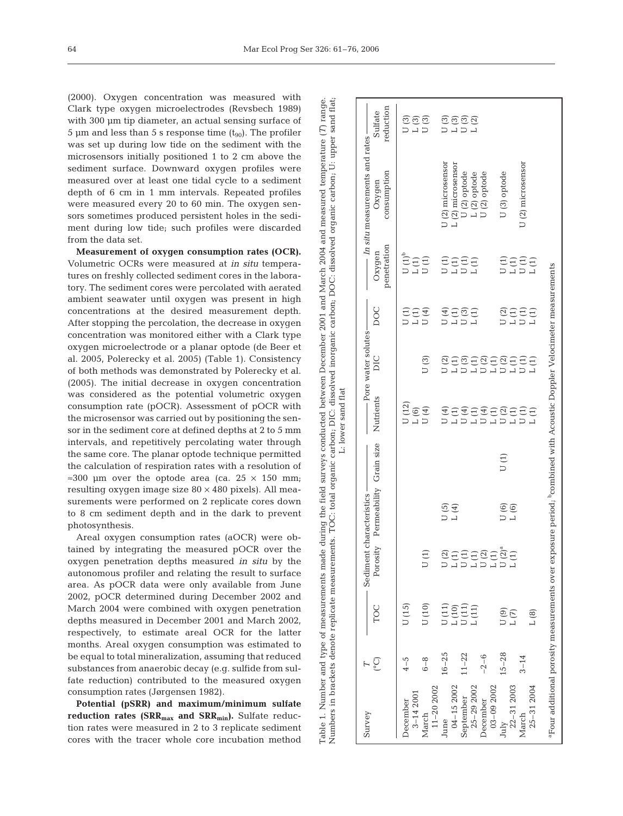Table 1. Number and type of measurements made during the field surveys conducted between December 2001 and March 2004 and measured temperature (

made during the field surveys conducted between

of measurements

Table 1. Number and type of measures<br>Numbers in brackets denote replicate

December 2001 and March 2004 and measured temperature (*T*) range.<br>d inorganic carbon, DOC: dissolved organic carbon, U: upper sand flat;

(2000). Oxygen concentration was measured with Clark type oxygen microelectrodes (Revsbech 1989) with 300 µm tip diameter, an actual sensing surface of 5 µm and less than 5 s response time  $(t_{90})$ . The profiler was set up during low tide on the sediment with the microsensors initially positioned 1 to 2 cm above the sediment surface. Downward oxygen profiles were measured over at least one tidal cycle to a sediment depth of 6 cm in 1 mm intervals. Repeated profiles were measured every 20 to 60 min. The oxygen sensors sometimes produced persistent holes in the sediment during low tide; such profiles were discarded from the data set.

**Measurement of oxygen consumption rates (OCR).** Volumetric OCRs were measured at *in situ* temperatures on freshly collected sediment cores in the laboratory. The sediment cores were percolated with aerated ambient seawater until oxygen was present in high concentrations at the desired measurement depth. After stopping the percolation, the decrease in oxygen concentration was monitored either with a Clark type oxygen microelectrode or a planar optode (de Beer et al. 2005, Polerecky et al. 2005) (Table 1). Consistency of both methods was demonstrated by Polerecky et al. (2005). The initial decrease in oxygen concentration was considered as the potential volumetric oxygen consumption rate (pOCR). Assessment of pOCR with the microsensor was carried out by positioning the sensor in the sediment core at defined depths at 2 to 5 mm intervals, and repetitively percolating water through the same core. The planar optode technique permitted the calculation of respiration rates with a resolution of  $\approx 300$  µm over the optode area (ca. 25  $\times$  150 mm; resulting oxygen image size  $80 \times 480$  pixels). All measurements were performed on 2 replicate cores down to 8 cm sediment depth and in the dark to prevent photosynthesis.

Areal oxygen consumption rates (aOCR) were obtained by integrating the measured pOCR over the oxygen penetration depths measured *in situ* by the autonomous profiler and relating the result to surface area. As pOCR data were only available from June 2002, pOCR determined during December 2002 and March 2004 were combined with oxygen penetration depths measured in December 2001 and March 2002, respectively, to estimate areal OCR for the latter months. Areal oxygen consumption was estimated to be equal to total mineralization, assuming that reduced substances from anaerobic decay (e.g. sulfide from sulfate reduction) contributed to the measured oxygen consumption rates (Jørgensen 1982).

**Potential (pSRR) and maximum/minimum sulfate** reduction rates (SRR<sub>max</sub> and SRR<sub>min</sub>). Sulfate reduction rates were measured in 2 to 3 replicate sediment cores with the tracer whole core incubation method

| Survey                 |           |                                                                                                                               | Sediment            | characteristics-        |      |                                                                     | - Pore water solutes                                                |                                                  |                                                                                                         | - In situ measurements and rates |                      |
|------------------------|-----------|-------------------------------------------------------------------------------------------------------------------------------|---------------------|-------------------------|------|---------------------------------------------------------------------|---------------------------------------------------------------------|--------------------------------------------------|---------------------------------------------------------------------------------------------------------|----------------------------------|----------------------|
|                        | ြစ        | TOC                                                                                                                           | Porosity            | Permeability Grain size |      | Nutrients                                                           | DIC                                                                 | DOC                                              | penetration<br>Oxygen                                                                                   | consumption<br>Oxygen            | reduction<br>Sulfate |
| <b>December</b>        | $4 - 5$   | U(15)                                                                                                                         |                     |                         |      | J(12)                                                               |                                                                     | J(1)                                             | $U(1)^b$                                                                                                |                                  | $\overline{J}$ (3)   |
| $3 - 142001$           |           |                                                                                                                               |                     |                         |      | $L(6)$                                                              |                                                                     | $\mathsf{L}\left( 1\right)$                      |                                                                                                         |                                  | $\mathsf{L}\ (3)$    |
| $11 - 202002$<br>March | $6 - 8$   | U(10)                                                                                                                         | J(1)                |                         |      | U(4)                                                                | U(3)                                                                | U(4)                                             | $\begin{array}{c} \mathbf{L}\left( \mathbf{1}\right) \\ \mathbf{U}\left( \mathbf{1}\right) \end{array}$ |                                  | U(3)                 |
| June                   | $16 - 25$ |                                                                                                                               | J(2)                | U(5)                    |      | U (4)                                                               | U (2)                                                               | U (4)                                            |                                                                                                         | J (2) microsensor                |                      |
| $04 - 152002$          |           |                                                                                                                               |                     | L(4)                    |      | $\mathsf{L}\left( 1\right)$                                         | $\mathsf{L}\left( 1\right)$                                         | $\mathsf{L}\left( 1\right)$                      |                                                                                                         | L(2) microsensor                 |                      |
| September              | $11 - 22$ | $\begin{array}{c} \mathtt{U}\ (1) \\ \mathtt{L}\ (10) \\ \mathtt{U}\ (1) \\ \mathtt{L}\ (11) \\ \mathtt{L}\ (11) \end{array}$ |                     |                         |      |                                                                     |                                                                     |                                                  | せいとう<br>ローロー                                                                                            | U(2) optode                      | ยิติอิยิ<br>มมม      |
| $25 - 292002$          |           |                                                                                                                               |                     |                         |      | $\begin{array}{c} \mathbf{U}\ (4) \\ \mathbf{L}\ (1) \end{array}$   |                                                                     | $\begin{array}{c} 1.3 \\ 0.1 \\ 1.4 \end{array}$ |                                                                                                         | L(2) optode                      |                      |
| December               | $-2 - 6$  |                                                                                                                               | n<br>Sebas<br>Sebas |                         |      | $\begin{array}{c} \mathbf{U}\ (4) \\ \mathbf{L}\ (1) \end{array}$   | phph<br>Dhph                                                        |                                                  |                                                                                                         | U (2) optode                     |                      |
| $03 - 092002$          |           |                                                                                                                               |                     |                         |      |                                                                     |                                                                     |                                                  |                                                                                                         |                                  |                      |
| July                   | $15 - 28$ | U(9)                                                                                                                          | $U(2)^{\epsilon}$   | U(6)                    | U(1) |                                                                     |                                                                     | U(2)                                             |                                                                                                         | U(3) optode                      |                      |
| 22-31 2003             |           | L(T)                                                                                                                          | L(1)                | $L(6)$                  |      | $\begin{array}{c} \mathbf{U} \ (2) \\ \mathbf{L} \ (1) \end{array}$ | $\begin{array}{c} \mathbf{U} \ (2) \\ \mathbf{L} \ (1) \end{array}$ | $\mathsf{L}\left( 1\right)$                      |                                                                                                         |                                  |                      |
| March                  | $3 - 14$  |                                                                                                                               |                     |                         |      | U (1)                                                               | U(1)                                                                | $U\left( 1\right)$                               | pupu<br>pupu                                                                                            | U (2) microsensor                |                      |
| $25 - 312004$          |           | L(8)                                                                                                                          |                     |                         |      | $\perp(1)$                                                          | L(1)                                                                | $\perp(1)$                                       |                                                                                                         |                                  |                      |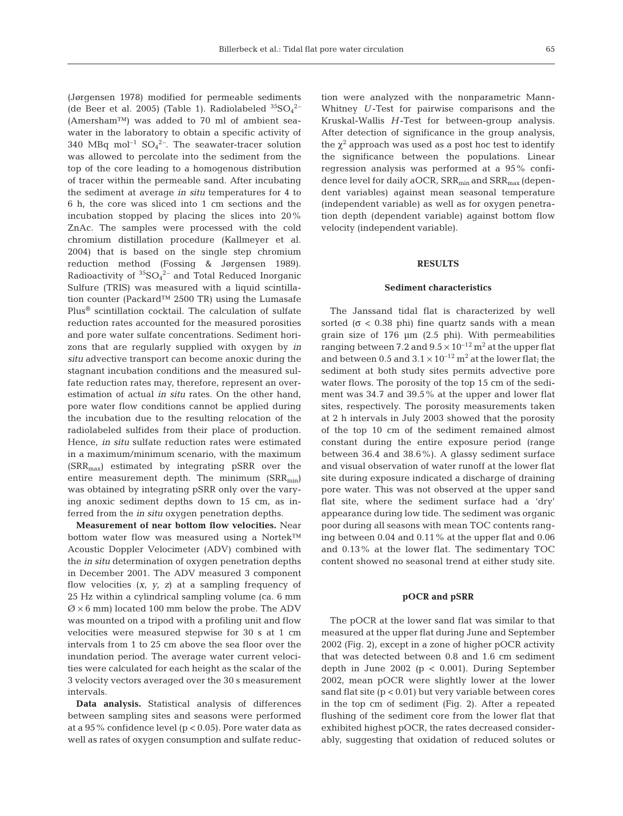(Jørgensen 1978) modified for permeable sediments (de Beer et al. 2005) (Table 1). Radiolabeled  ${}^{35}SO_4{}^{2-}$ (Amersham™) was added to 70 ml of ambient seawater in the laboratory to obtain a specific activity of  $340 \, \text{MBq}$  mol<sup>-1</sup> SO<sub>4</sub><sup>2-</sup>. The seawater-tracer solution was allowed to percolate into the sediment from the top of the core leading to a homogenous distribution of tracer within the permeable sand. After incubating the sediment at average *in situ* temperatures for 4 to 6 h, the core was sliced into 1 cm sections and the incubation stopped by placing the slices into 20% ZnAc. The samples were processed with the cold chromium distillation procedure (Kallmeyer et al. 2004) that is based on the single step chromium reduction method (Fossing & Jørgensen 1989). Radioactivity of  ${}^{35} \text{SO}_4 {}^{2-}$  and Total Reduced Inorganic Sulfure (TRIS) was measured with a liquid scintillation counter (Packard™ 2500 TR) using the Lumasafe Plus® scintillation cocktail. The calculation of sulfate reduction rates accounted for the measured porosities and pore water sulfate concentrations. Sediment horizons that are regularly supplied with oxygen by *in situ* advective transport can become anoxic during the stagnant incubation conditions and the measured sulfate reduction rates may, therefore, represent an overestimation of actual *in situ* rates. On the other hand, pore water flow conditions cannot be applied during the incubation due to the resulting relocation of the radiolabeled sulfides from their place of production. Hence, *in situ* sulfate reduction rates were estimated in a maximum/minimum scenario, with the maximum (SRRmax) estimated by integrating pSRR over the entire measurement depth. The minimum  $(SRR_{min})$ was obtained by integrating pSRR only over the varying anoxic sediment depths down to 15 cm, as inferred from the *in situ* oxygen penetration depths.

**Measurement of near bottom flow velocities.** Near bottom water flow was measured using a Nortek™ Acoustic Doppler Velocimeter (ADV) combined with the *in situ* determination of oxygen penetration depths in December 2001. The ADV measured 3 component flow velocities (*x*, *y*, *z*) at a sampling frequency of 25 Hz within a cylindrical sampling volume (ca. 6 mm  $\varnothing$  × 6 mm) located 100 mm below the probe. The ADV was mounted on a tripod with a profiling unit and flow velocities were measured stepwise for 30 s at 1 cm intervals from 1 to 25 cm above the sea floor over the inundation period. The average water current velocities were calculated for each height as the scalar of the 3 velocity vectors averaged over the 30 s measurement intervals.

**Data analysis.** Statistical analysis of differences between sampling sites and seasons were performed at a 95% confidence level ( $p < 0.05$ ). Pore water data as well as rates of oxygen consumption and sulfate reduction were analyzed with the nonparametric Mann-Whitney *U* -Test for pairwise comparisons and the Kruskal-Wallis *H* -Test for between-group analysis. After detection of significance in the group analysis, the  $\chi^2$  approach was used as a post hoc test to identify the significance between the populations. Linear regression analysis was performed at a 95% confidence level for daily aOCR, SRR<sub>min</sub> and SRR<sub>max</sub> (dependent variables) against mean seasonal temperature (independent variable) as well as for oxygen penetration depth (dependent variable) against bottom flow velocity (independent variable).

# **RESULTS**

## **Sediment characteristics**

The Janssand tidal flat is characterized by well sorted ( $\sigma$  < 0.38 phi) fine quartz sands with a mean grain size of 176 µm (2.5 phi). With permeabilities ranging between 7.2 and  $9.5 \times 10^{-12}$  m<sup>2</sup> at the upper flat and between 0.5 and  $3.1 \times 10^{-12}$  m<sup>2</sup> at the lower flat; the sediment at both study sites permits advective pore water flows. The porosity of the top 15 cm of the sediment was 34.7 and 39.5% at the upper and lower flat sites, respectively. The porosity measurements taken at 2 h intervals in July 2003 showed that the porosity of the top 10 cm of the sediment remained almost constant during the entire exposure period (range between 36.4 and 38.6%). A glassy sediment surface and visual observation of water runoff at the lower flat site during exposure indicated a discharge of draining pore water. This was not observed at the upper sand flat site, where the sediment surface had a 'dry' appearance during low tide. The sediment was organic poor during all seasons with mean TOC contents ranging between 0.04 and 0.11% at the upper flat and 0.06 and 0.13% at the lower flat. The sedimentary TOC content showed no seasonal trend at either study site.

## **pOCR and pSRR**

The pOCR at the lower sand flat was similar to that measured at the upper flat during June and September 2002 (Fig. 2), except in a zone of higher pOCR activity that was detected between 0.8 and 1.6 cm sediment depth in June 2002 ( $p < 0.001$ ). During September 2002, mean pOCR were slightly lower at the lower sand flat site  $(p < 0.01)$  but very variable between cores in the top cm of sediment (Fig. 2). After a repeated flushing of the sediment core from the lower flat that exhibited highest pOCR, the rates decreased considerably, suggesting that oxidation of reduced solutes or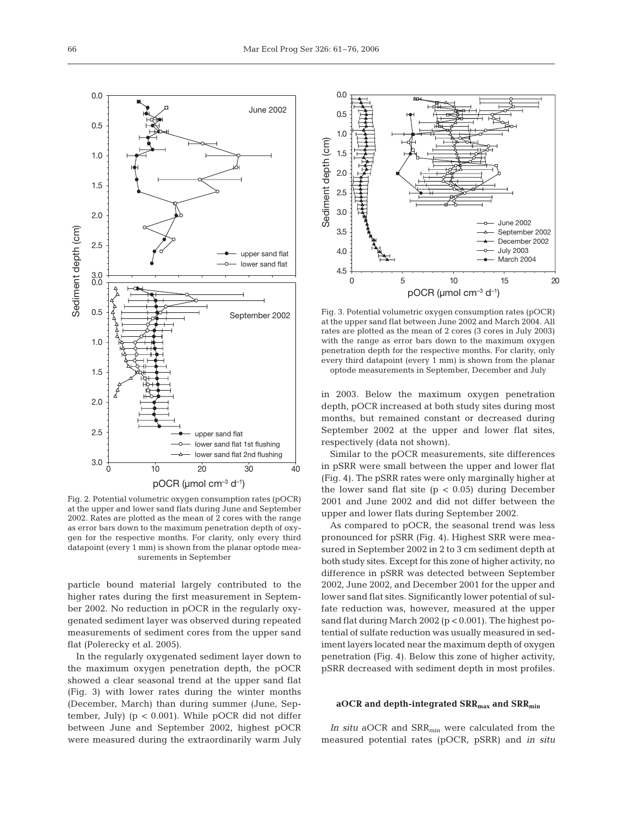

Fig. 2. Potential volumetric oxygen consumption rates (pOCR) at the upper and lower sand flats during June and September 2002. Rates are plotted as the mean of 2 cores with the range as error bars down to the maximum penetration depth of oxygen for the respective months. For clarity, only every third datapoint (every 1 mm) is shown from the planar optode measurements in September

particle bound material largely contributed to the higher rates during the first measurement in September 2002. No reduction in pOCR in the regularly oxygenated sediment layer was observed during repeated measurements of sediment cores from the upper sand flat (Polerecky et al. 2005).

In the regularly oxygenated sediment layer down to the maximum oxygen penetration depth, the pOCR showed a clear seasonal trend at the upper sand flat (Fig. 3) with lower rates during the winter months (December, March) than during summer (June, September, July) (p < 0.001). While pOCR did not differ between June and September 2002, highest pOCR were measured during the extraordinarily warm July



Fig. 3. Potential volumetric oxygen consumption rates (pOCR) at the upper sand flat between June 2002 and March 2004. All rates are plotted as the mean of 2 cores (3 cores in July 2003) with the range as error bars down to the maximum oxygen penetration depth for the respective months. For clarity, only every third datapoint (every 1 mm) is shown from the planar optode measurements in September, December and July

in 2003. Below the maximum oxygen penetration depth, pOCR increased at both study sites during most months, but remained constant or decreased during September 2002 at the upper and lower flat sites, respectively (data not shown).

Similar to the pOCR measurements, site differences in pSRR were small between the upper and lower flat (Fig. 4). The pSRR rates were only marginally higher at the lower sand flat site  $(p < 0.05)$  during December 2001 and June 2002 and did not differ between the upper and lower flats during September 2002.

As compared to pOCR, the seasonal trend was less pronounced for pSRR (Fig. 4). Highest SRR were measured in September 2002 in 2 to 3 cm sediment depth at both study sites. Except for this zone of higher activity, no difference in pSRR was detected between September 2002, June 2002, and December 2001 for the upper and lower sand flat sites. Significantly lower potential of sulfate reduction was, however, measured at the upper sand flat during March 2002 (p < 0.001). The highest potential of sulfate reduction was usually measured in sediment layers located near the maximum depth of oxygen penetration (Fig. 4). Below this zone of higher activity, pSRR decreased with sediment depth in most profiles.

# **aOCR and depth-integrated SRRmax and SRRmin**

In situ aOCR and SRR<sub>min</sub> were calculated from the measured potential rates (pOCR, pSRR) and *in situ*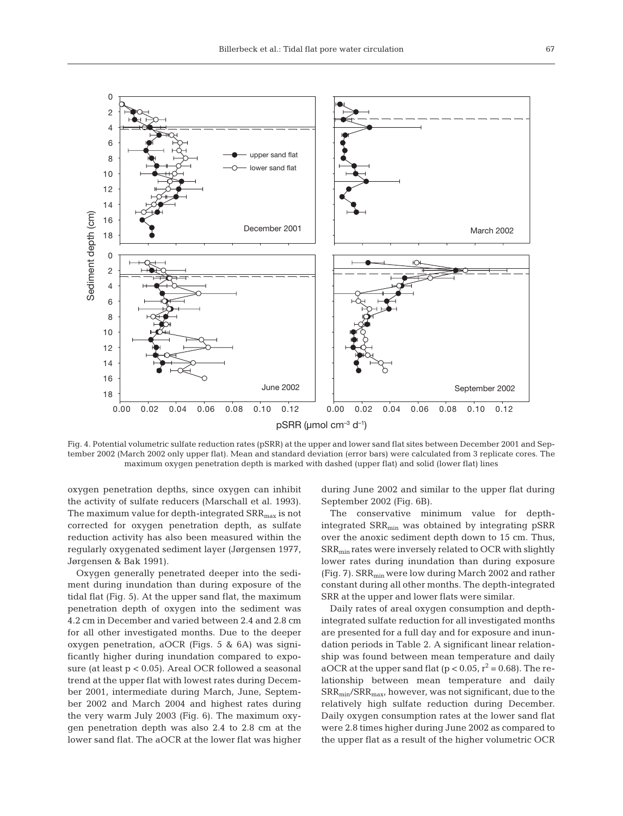

Fig. 4. Potential volumetric sulfate reduction rates (pSRR) at the upper and lower sand flat sites between December 2001 and September 2002 (March 2002 only upper flat). Mean and standard deviation (error bars) were calculated from 3 replicate cores. The maximum oxygen penetration depth is marked with dashed (upper flat) and solid (lower flat) lines

oxygen penetration depths, since oxygen can inhibit the activity of sulfate reducers (Marschall et al. 1993). The maximum value for depth-integrated  $SRR_{max}$  is not corrected for oxygen penetration depth, as sulfate reduction activity has also been measured within the regularly oxygenated sediment layer (Jørgensen 1977, Jørgensen & Bak 1991).

Oxygen generally penetrated deeper into the sediment during inundation than during exposure of the tidal flat (Fig. 5). At the upper sand flat, the maximum penetration depth of oxygen into the sediment was 4.2 cm in December and varied between 2.4 and 2.8 cm for all other investigated months. Due to the deeper oxygen penetration, aOCR (Figs. 5 & 6A) was significantly higher during inundation compared to exposure (at least p < 0.05). Areal OCR followed a seasonal trend at the upper flat with lowest rates during December 2001, intermediate during March, June, September 2002 and March 2004 and highest rates during the very warm July 2003 (Fig. 6). The maximum oxygen penetration depth was also 2.4 to 2.8 cm at the lower sand flat. The aOCR at the lower flat was higher during June 2002 and similar to the upper flat during September 2002 (Fig. 6B).

The conservative minimum value for depthintegrated SRR<sub>min</sub> was obtained by integrating pSRR over the anoxic sediment depth down to 15 cm. Thus, SRRmin rates were inversely related to OCR with slightly lower rates during inundation than during exposure (Fig. 7).  $SRR_{min}$  were low during March 2002 and rather constant during all other months. The depth-integrated SRR at the upper and lower flats were similar.

Daily rates of areal oxygen consumption and depthintegrated sulfate reduction for all investigated months are presented for a full day and for exposure and inundation periods in Table 2. A significant linear relationship was found between mean temperature and daily aOCR at the upper sand flat ( $p < 0.05$ ,  $r^2 = 0.68$ ). The relationship between mean temperature and daily  $SRR_{min}/SRR_{max}$ , however, was not significant, due to the relatively high sulfate reduction during December. Daily oxygen consumption rates at the lower sand flat were 2.8 times higher during June 2002 as compared to the upper flat as a result of the higher volumetric OCR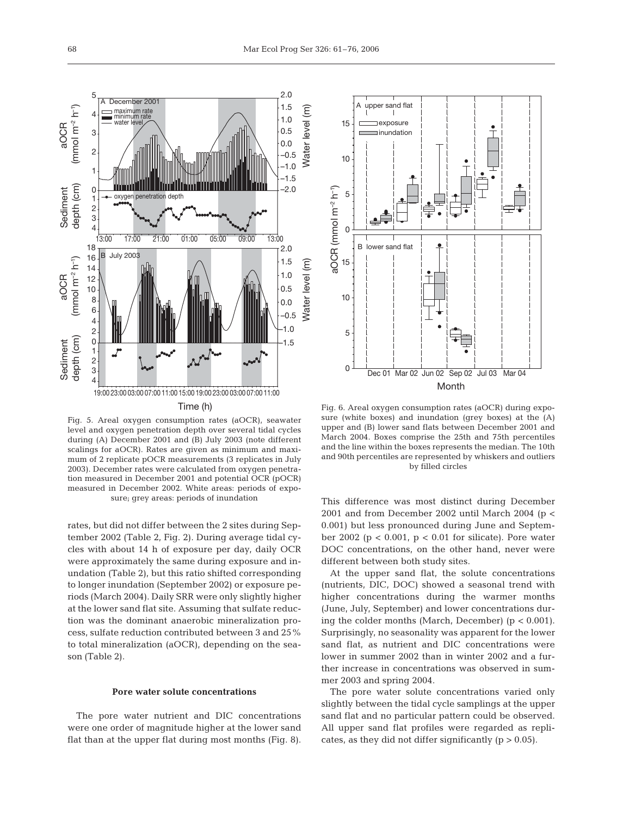

Fig. 5. Areal oxygen consumption rates (aOCR), seawater level and oxygen penetration depth over several tidal cycles during (A) December 2001 and (B) July 2003 (note different scalings for aOCR). Rates are given as minimum and maximum of 2 replicate pOCR measurements (3 replicates in July 2003). December rates were calculated from oxygen penetration measured in December 2001 and potential OCR (pOCR) measured in December 2002. White areas: periods of exposure; grey areas: periods of inundation

rates, but did not differ between the 2 sites during September 2002 (Table 2, Fig. 2). During average tidal cycles with about 14 h of exposure per day, daily OCR were approximately the same during exposure and inundation (Table 2), but this ratio shifted corresponding to longer inundation (September 2002) or exposure periods (March 2004). Daily SRR were only slightly higher at the lower sand flat site. Assuming that sulfate reduction was the dominant anaerobic mineralization process, sulfate reduction contributed between 3 and 25% to total mineralization (aOCR), depending on the season (Table 2).

#### **Pore water solute concentrations**

The pore water nutrient and DIC concentrations were one order of magnitude higher at the lower sand flat than at the upper flat during most months (Fig. 8).



Fig. 6. Areal oxygen consumption rates (aOCR) during exposure (white boxes) and inundation (grey boxes) at the (A) upper and (B) lower sand flats between December 2001 and March 2004. Boxes comprise the 25th and 75th percentiles and the line within the boxes represents the median. The 10th and 90th percentiles are represented by whiskers and outliers by filled circles

This difference was most distinct during December 2001 and from December 2002 until March 2004 (p < 0.001) but less pronounced during June and September 2002 ( $p < 0.001$ ,  $p < 0.01$  for silicate). Pore water DOC concentrations, on the other hand, never were different between both study sites.

At the upper sand flat, the solute concentrations (nutrients, DIC, DOC) showed a seasonal trend with higher concentrations during the warmer months (June, July, September) and lower concentrations during the colder months (March, December)  $(p < 0.001)$ . Surprisingly, no seasonality was apparent for the lower sand flat, as nutrient and DIC concentrations were lower in summer 2002 than in winter 2002 and a further increase in concentrations was observed in summer 2003 and spring 2004.

The pore water solute concentrations varied only slightly between the tidal cycle samplings at the upper sand flat and no particular pattern could be observed. All upper sand flat profiles were regarded as replicates, as they did not differ significantly  $(p > 0.05)$ .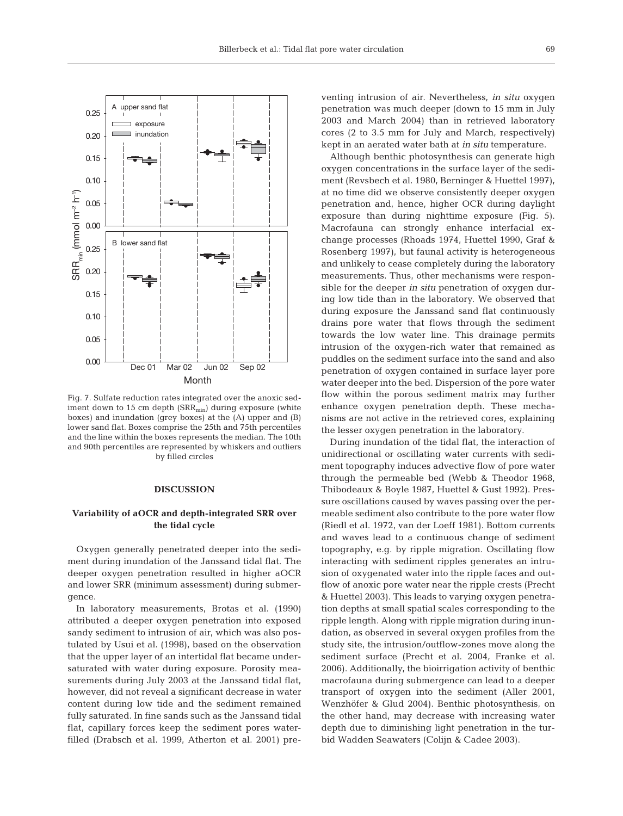



Fig. 7. Sulfate reduction rates integrated over the anoxic sediment down to 15 cm depth  $(SRR_{min})$  during exposure (white boxes) and inundation (grey boxes) at the (A) upper and (B) lower sand flat. Boxes comprise the 25th and 75th percentiles and the line within the boxes represents the median. The 10th and 90th percentiles are represented by whiskers and outliers by filled circles

# **DISCUSSION**

# **Variability of aOCR and depth-integrated SRR over the tidal cycle**

Oxygen generally penetrated deeper into the sediment during inundation of the Janssand tidal flat. The deeper oxygen penetration resulted in higher aOCR and lower SRR (minimum assessment) during submergence.

In laboratory measurements, Brotas et al. (1990) attributed a deeper oxygen penetration into exposed sandy sediment to intrusion of air, which was also postulated by Usui et al. (1998), based on the observation that the upper layer of an intertidal flat became undersaturated with water during exposure. Porosity measurements during July 2003 at the Janssand tidal flat, however, did not reveal a significant decrease in water content during low tide and the sediment remained fully saturated. In fine sands such as the Janssand tidal flat, capillary forces keep the sediment pores waterfilled (Drabsch et al. 1999, Atherton et al. 2001) preventing intrusion of air. Nevertheless, *in situ* oxygen penetration was much deeper (down to 15 mm in July 2003 and March 2004) than in retrieved laboratory cores (2 to 3.5 mm for July and March, respectively) kept in an aerated water bath at *in situ* temperature.

Although benthic photosynthesis can generate high oxygen concentrations in the surface layer of the sediment (Revsbech et al. 1980, Berninger & Huettel 1997), at no time did we observe consistently deeper oxygen penetration and, hence, higher OCR during daylight exposure than during nighttime exposure (Fig. 5). Macrofauna can strongly enhance interfacial exchange processes (Rhoads 1974, Huettel 1990, Graf & Rosenberg 1997), but faunal activity is heterogeneous and unlikely to cease completely during the laboratory measurements. Thus, other mechanisms were responsible for the deeper *in situ* penetration of oxygen during low tide than in the laboratory. We observed that during exposure the Janssand sand flat continuously drains pore water that flows through the sediment towards the low water line. This drainage permits intrusion of the oxygen-rich water that remained as puddles on the sediment surface into the sand and also penetration of oxygen contained in surface layer pore water deeper into the bed. Dispersion of the pore water flow within the porous sediment matrix may further enhance oxygen penetration depth. These mechanisms are not active in the retrieved cores, explaining the lesser oxygen penetration in the laboratory.

During inundation of the tidal flat, the interaction of unidirectional or oscillating water currents with sediment topography induces advective flow of pore water through the permeable bed (Webb & Theodor 1968, Thibodeaux & Boyle 1987, Huettel & Gust 1992). Pressure oscillations caused by waves passing over the permeable sediment also contribute to the pore water flow (Riedl et al. 1972, van der Loeff 1981). Bottom currents and waves lead to a continuous change of sediment topography, e.g. by ripple migration. Oscillating flow interacting with sediment ripples generates an intrusion of oxygenated water into the ripple faces and outflow of anoxic pore water near the ripple crests (Precht & Huettel 2003). This leads to varying oxygen penetration depths at small spatial scales corresponding to the ripple length. Along with ripple migration during inundation, as observed in several oxygen profiles from the study site, the intrusion/outflow-zones move along the sediment surface (Precht et al. 2004, Franke et al. 2006). Additionally, the bioirrigation activity of benthic macrofauna during submergence can lead to a deeper transport of oxygen into the sediment (Aller 2001, Wenzhöfer & Glud 2004). Benthic photosynthesis, on the other hand, may decrease with increasing water depth due to diminishing light penetration in the turbid Wadden Seawaters (Colijn & Cadee 2003).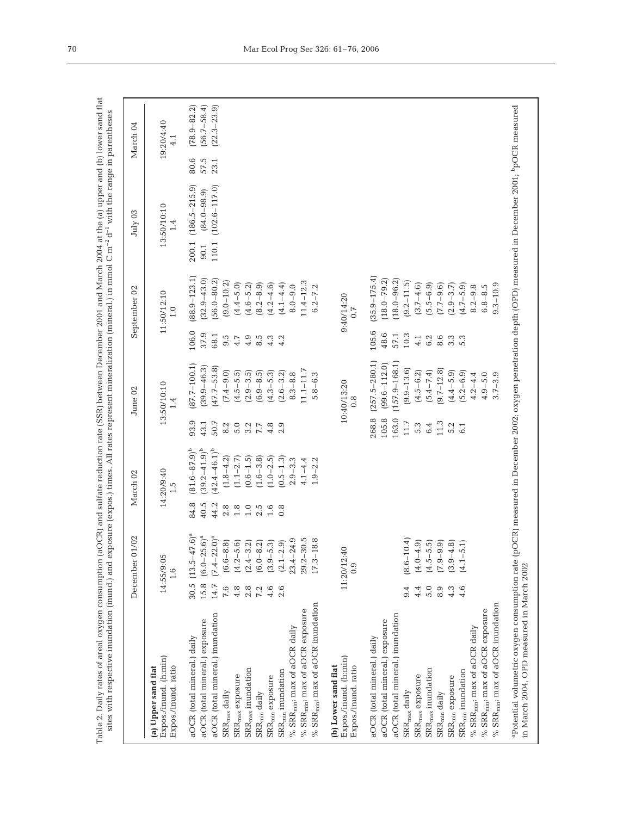|                                                                    |      | December 01/02                    |         | March 02                 |       | June 02           |       | September 02                 |       | July 03            |      | March 04                    |
|--------------------------------------------------------------------|------|-----------------------------------|---------|--------------------------|-------|-------------------|-------|------------------------------|-------|--------------------|------|-----------------------------|
| Expos./inund. (h:min)<br>Expos./inund.ratio<br>(a) Upper sand flat |      | 14:55/9:05<br>$\frac{1}{1}$ .6    |         | 14:20/9:40<br>$\ddot{c}$ |       | 13:50/10:10       |       | 11:50/12:10<br>$\frac{0}{1}$ |       | 13:50/10:10<br>1.4 |      | 19:20/4:40<br>$\frac{1}{4}$ |
| aOCR (total mineral.) daily                                        |      | 30.5 $(13.5-47.6)^a$              | 84.8    | $(81.6 - 87.9)^b$        | 93.9  | $(87.7 - 100.1)$  | 106.0 | $(88.9 - 123.1)$             | 200.1 | $(186.5 - 215.9)$  | 80.6 | $(78.9 - 82.2)$             |
| aOCR (total mineral.) exposure                                     | 15.8 | $.6$ <sup>a</sup><br>$(6.0 - 25)$ | 40.5    | $(39.2 - 41.9)^{b}$      | 43.1  | $(39.9 - 46.3)$   | 37.9  | $(32.9 - 43.0)$              | 90.1  | $(84.0 - 98.9)$    | 57.5 | $(56.7 - 58.4)$             |
| aOCR (total mineral.) inundation                                   | 14.7 | $(7.4 - 22.0)^{a}$                | 44.2    | $(42.4 - 46.1)^b$        | 50.7  | $(47.7 - 53.8)$   | 68.1  | $(56.0 - 80.2)$              | 110.1 | $(102.6 - 117.0)$  | 23.1 | $(22.3 - 23.9)$             |
| ${\rm SRR}_{\rm max}$ daily                                        | 7.6  | $\widehat{\infty}$<br>$(6.6 - 8)$ | 2.8     | $(1.8 - 4.2)$            | 8.2   | $(7.4 - 9.0)$     | 9.5   | $(9.0 - 10.2)$               |       |                    |      |                             |
| $\rm{SRR}_{max}$ exposure                                          | 4.8  | $(4.2 - 5.6)$                     | $1.8$   | $(1.1 - 2.7)$            | 5.0   | $(4.5 - 5.5)$     | 4.7   | $(4.4 - 5.0)$                |       |                    |      |                             |
| $\rm{SRR}_{max}$ inundation                                        | 2.8  | $(2.4 - 3.2)$                     | $1.0\,$ | $(0.6 - 1.5)$            | 3.2   | $(2.9 - 3.5)$     | 4.9   | $(4.6 - 5.2)$                |       |                    |      |                             |
| $\text{SRR}_{\min}$ daily                                          | 7.2  | $(6.0 - 8.2)$                     | 2.5     | $(1.6 - 3.8)$            | 7.7   | $(6.9 - 8.5)$     | 8.5   | $(8.2 - 8.9)$                |       |                    |      |                             |
| $\rm{SRR}_{\rm min}$ exposure                                      | 4.6  | $(3.9 - 5.3)$                     | 1.6     | $(1.0 - 2.5)$            | 4.8   | $(4.3 - 5.3)$     | 4.3   | $(4.2 - 4.6)$                |       |                    |      |                             |
| $SRR_{min}$ inundation                                             | 2.6  | $(2.1 - 2.9)$                     | 0.8     | $(0.5 - 1.3)$            | 2.9   | $(2.6 - 3.2)$     | 4.2   | $(4.1 - 4.4)$                |       |                    |      |                             |
| % $SRR_{min}$ ; max of aOCR daily                                  |      | $23.4 - 24.9$                     |         | $2.9 - 3.3$              |       | $8.3 - 8.8$       |       | $8.0 - 9.0$                  |       |                    |      |                             |
| % $SRR_{min}$ ; max of aOCR exposure                               |      | $29.2 - 30.5$                     |         | $4.1 - 4.4$              |       | $11.1 - 11.7$     |       | $11.4 - 12.3$                |       |                    |      |                             |
| % $SRR_{min}$ ; max of aOCR inundation                             |      | $17.3 - 18.8$                     |         | $1.9 - 2.2$              |       | $5.8 - 6.3$       |       | $6.2 - 7.2$                  |       |                    |      |                             |
| Expos./inund. (h:min)<br>(b) Lower sand flat                       |      | 11:20/12:40                       |         |                          |       | 10:40/13:20       |       | 9:40/14:20                   |       |                    |      |                             |
| Expos./inund.ratio                                                 |      |                                   |         |                          |       | $\frac{8}{2}$     |       | 0.7                          |       |                    |      |                             |
| aOCR (total mineral.) daily                                        |      |                                   |         |                          | 268.8 | $(257.5 - 280.1)$ | 105.6 | $(35.9 - 175.4)$             |       |                    |      |                             |
| aOCR (total mineral.) exposure                                     |      |                                   |         |                          | 105.8 | $(99.6 - 112.0)$  | 48.6  | $(18.0 - 79.2)$              |       |                    |      |                             |
| aOCR (total mineral.) inundation                                   |      |                                   |         |                          | 163.0 | $(157.9 - 168.1)$ | 57.1  | $(18.0 - 96.2)$              |       |                    |      |                             |
| $\text{SRR}_{\text{max}}$ daily                                    | 9.4  | $(8.6 - 10.4)$                    |         |                          | 11.7  | $(9.9 - 13.6)$    | 10.3  | $(9.2 - 11.5)$               |       |                    |      |                             |
| $\rm{SRR}_{max}$ exposure                                          | 4.4  | $(4.0 - 4.9)$                     |         |                          | 5.3   | $(4.5 - 6.2)$     | 4.1   | $(3.7 - 4.6)$                |       |                    |      |                             |
| $\rm{SRR}_{max}$ inundation                                        | 5.0  | $(4.5 - 5.5)$                     |         |                          | 6.4   | $(5.4 - 7.4)$     | 6.2   | $(5.5 - 6.9)$                |       |                    |      |                             |
| $SRR_{min}$ daily                                                  | 8.9  | $(7.9 - 9.9)$                     |         |                          | 11.3  | $(9.7 - 12.8)$    | 8.6   | $(7.7 - 9.6)$                |       |                    |      |                             |
| $\rm{SRR}_{\rm min}$ exposure                                      | 4.3  | $(3.9 - 4.8)$                     |         |                          | 5.2   | $(4.4 - 5.9)$     | 3.3   | $(2.9 - 3.7)$                |       |                    |      |                             |
| $\rm{SRR}_{min}$ inundation                                        | 4.6  | $(4.1 - 5.1)$                     |         |                          | 6.1   | $(5.2 - 6.9)$     | 5.3   | $(4.7 - 5.9)$                |       |                    |      |                             |
| % $SRR_{min}$ ; max of aOCR daily                                  |      |                                   |         |                          |       | $4.2 - 4.4$       |       | $8.2 - 9.8$                  |       |                    |      |                             |
| % $SRR_{min}$ ; max of aOCR exposure                               |      |                                   |         |                          |       | $4.9 - 5.0$       |       | $6.8 - 8.5$                  |       |                    |      |                             |
| % $SRR_{min}$ ; max of aOCR inundation                             |      |                                   |         |                          |       | $3.7 - 3.9$       |       | $9.3 - 10.9$                 |       |                    |      |                             |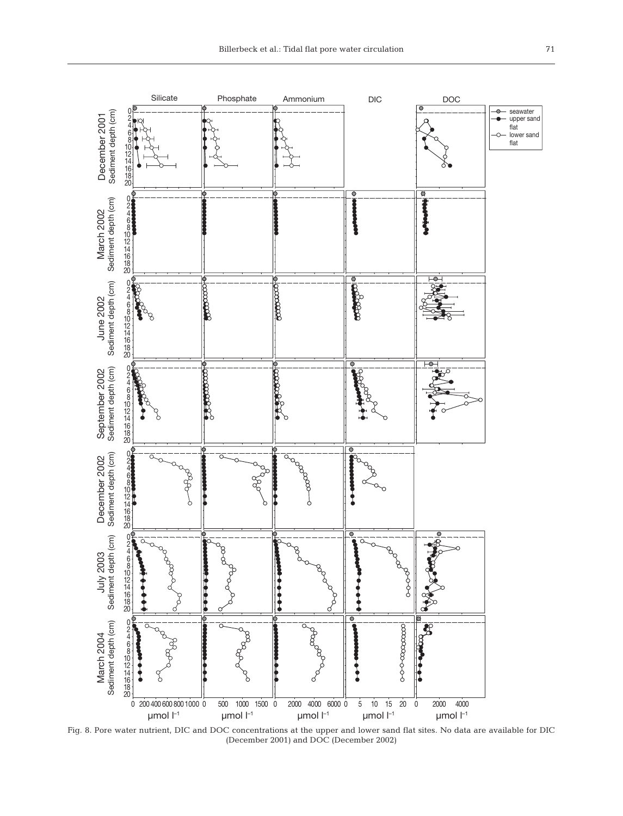

Fig. 8. Pore water nutrient, DIC and DOC concentrations at the upper and lower sand flat sites. No data are available for DIC (December 2001) and DOC (December 2002)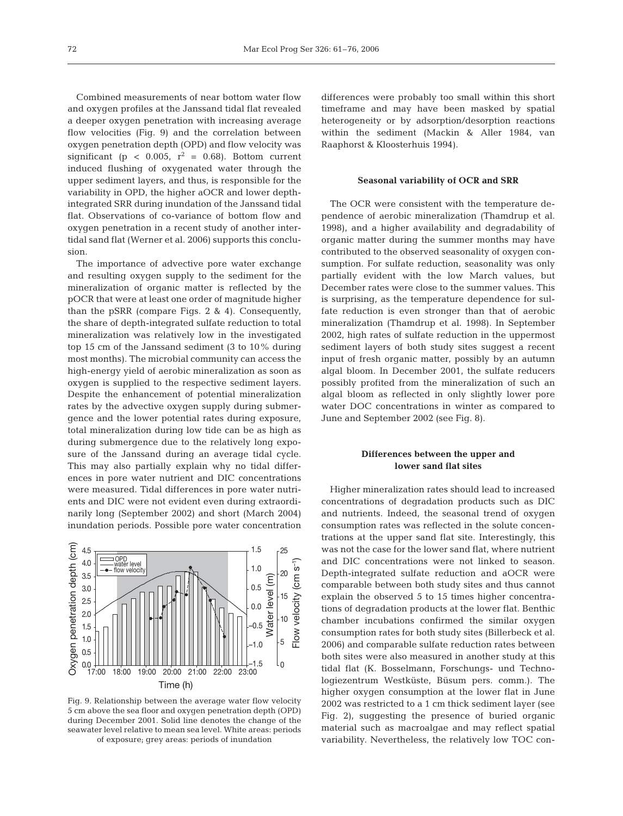Combined measurements of near bottom water flow and oxygen profiles at the Janssand tidal flat revealed a deeper oxygen penetration with increasing average flow velocities (Fig. 9) and the correlation between oxygen penetration depth (OPD) and flow velocity was significant (p < 0.005,  $r^2$  = 0.68). Bottom current induced flushing of oxygenated water through the upper sediment layers, and thus, is responsible for the variability in OPD, the higher aOCR and lower depthintegrated SRR during inundation of the Janssand tidal flat. Observations of co-variance of bottom flow and oxygen penetration in a recent study of another intertidal sand flat (Werner et al. 2006) supports this conclusion.

The importance of advective pore water exchange and resulting oxygen supply to the sediment for the mineralization of organic matter is reflected by the pOCR that were at least one order of magnitude higher than the pSRR (compare Figs. 2 & 4). Consequently, the share of depth-integrated sulfate reduction to total mineralization was relatively low in the investigated top 15 cm of the Janssand sediment (3 to 10% during most months). The microbial community can access the high-energy yield of aerobic mineralization as soon as oxygen is supplied to the respective sediment layers. Despite the enhancement of potential mineralization rates by the advective oxygen supply during submergence and the lower potential rates during exposure, total mineralization during low tide can be as high as during submergence due to the relatively long exposure of the Janssand during an average tidal cycle. This may also partially explain why no tidal differences in pore water nutrient and DIC concentrations were measured. Tidal differences in pore water nutrients and DIC were not evident even during extraordinarily long (September 2002) and short (March 2004) inundation periods. Possible pore water concentration



Fig. 9. Relationship between the average water flow velocity 5 cm above the sea floor and oxygen penetration depth (OPD) during December 2001. Solid line denotes the change of the seawater level relative to mean sea level. White areas: periods of exposure; grey areas: periods of inundation

differences were probably too small within this short timeframe and may have been masked by spatial heterogeneity or by adsorption/desorption reactions within the sediment (Mackin & Aller 1984, van Raaphorst & Kloosterhuis 1994).

# **Seasonal variability of OCR and SRR**

The OCR were consistent with the temperature dependence of aerobic mineralization (Thamdrup et al. 1998), and a higher availability and degradability of organic matter during the summer months may have contributed to the observed seasonality of oxygen consumption. For sulfate reduction, seasonality was only partially evident with the low March values, but December rates were close to the summer values. This is surprising, as the temperature dependence for sulfate reduction is even stronger than that of aerobic mineralization (Thamdrup et al. 1998). In September 2002, high rates of sulfate reduction in the uppermost sediment layers of both study sites suggest a recent input of fresh organic matter, possibly by an autumn algal bloom. In December 2001, the sulfate reducers possibly profited from the mineralization of such an algal bloom as reflected in only slightly lower pore water DOC concentrations in winter as compared to June and September 2002 (see Fig. 8).

# **Differences between the upper and lower sand flat sites**

Higher mineralization rates should lead to increased concentrations of degradation products such as DIC and nutrients. Indeed, the seasonal trend of oxygen consumption rates was reflected in the solute concentrations at the upper sand flat site. Interestingly, this was not the case for the lower sand flat, where nutrient and DIC concentrations were not linked to season. Depth-integrated sulfate reduction and aOCR were comparable between both study sites and thus cannot explain the observed 5 to 15 times higher concentrations of degradation products at the lower flat. Benthic chamber incubations confirmed the similar oxygen consumption rates for both study sites (Billerbeck et al. 2006) and comparable sulfate reduction rates between both sites were also measured in another study at this tidal flat (K. Bosselmann, Forschungs- und Technologiezentrum Westküste, Büsum pers. comm.). The higher oxygen consumption at the lower flat in June 2002 was restricted to a 1 cm thick sediment layer (see Fig. 2), suggesting the presence of buried organic material such as macroalgae and may reflect spatial variability. Nevertheless, the relatively low TOC con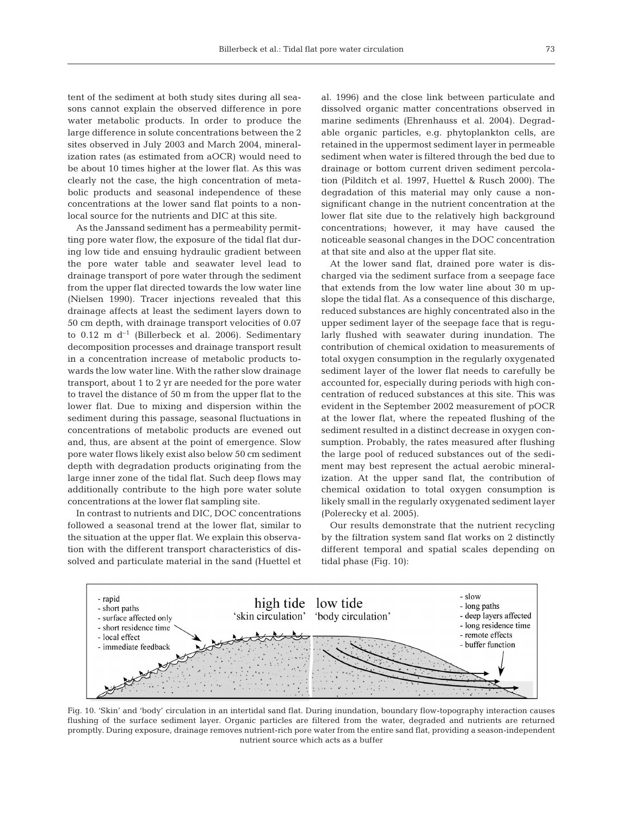tent of the sediment at both study sites during all seasons cannot explain the observed difference in pore water metabolic products. In order to produce the large difference in solute concentrations between the 2 sites observed in July 2003 and March 2004, mineralization rates (as estimated from aOCR) would need to be about 10 times higher at the lower flat. As this was clearly not the case, the high concentration of metabolic products and seasonal independence of these concentrations at the lower sand flat points to a nonlocal source for the nutrients and DIC at this site.

As the Janssand sediment has a permeability permitting pore water flow, the exposure of the tidal flat during low tide and ensuing hydraulic gradient between the pore water table and seawater level lead to drainage transport of pore water through the sediment from the upper flat directed towards the low water line (Nielsen 1990). Tracer injections revealed that this drainage affects at least the sediment layers down to 50 cm depth, with drainage transport velocities of 0.07 to  $0.12$  m d<sup>-1</sup> (Billerbeck et al. 2006). Sedimentary decomposition processes and drainage transport result in a concentration increase of metabolic products towards the low water line. With the rather slow drainage transport, about 1 to 2 yr are needed for the pore water to travel the distance of 50 m from the upper flat to the lower flat. Due to mixing and dispersion within the sediment during this passage, seasonal fluctuations in concentrations of metabolic products are evened out and, thus, are absent at the point of emergence. Slow pore water flows likely exist also below 50 cm sediment depth with degradation products originating from the large inner zone of the tidal flat. Such deep flows may additionally contribute to the high pore water solute concentrations at the lower flat sampling site.

In contrast to nutrients and DIC, DOC concentrations followed a seasonal trend at the lower flat, similar to the situation at the upper flat. We explain this observation with the different transport characteristics of dissolved and particulate material in the sand (Huettel et al. 1996) and the close link between particulate and dissolved organic matter concentrations observed in marine sediments (Ehrenhauss et al. 2004). Degradable organic particles, e.g. phytoplankton cells, are retained in the uppermost sediment layer in permeable sediment when water is filtered through the bed due to drainage or bottom current driven sediment percolation (Pilditch et al. 1997, Huettel & Rusch 2000). The degradation of this material may only cause a nonsignificant change in the nutrient concentration at the lower flat site due to the relatively high background concentrations; however, it may have caused the noticeable seasonal changes in the DOC concentration at that site and also at the upper flat site.

At the lower sand flat, drained pore water is discharged via the sediment surface from a seepage face that extends from the low water line about 30 m upslope the tidal flat. As a consequence of this discharge, reduced substances are highly concentrated also in the upper sediment layer of the seepage face that is regularly flushed with seawater during inundation. The contribution of chemical oxidation to measurements of total oxygen consumption in the regularly oxygenated sediment layer of the lower flat needs to carefully be accounted for, especially during periods with high concentration of reduced substances at this site. This was evident in the September 2002 measurement of pOCR at the lower flat, where the repeated flushing of the sediment resulted in a distinct decrease in oxygen consumption. Probably, the rates measured after flushing the large pool of reduced substances out of the sediment may best represent the actual aerobic mineralization. At the upper sand flat, the contribution of chemical oxidation to total oxygen consumption is likely small in the regularly oxygenated sediment layer (Polerecky et al. 2005).

Our results demonstrate that the nutrient recycling by the filtration system sand flat works on 2 distinctly different temporal and spatial scales depending on tidal phase (Fig. 10):



Fig. 10. 'Skin' and 'body' circulation in an intertidal sand flat. During inundation, boundary flow-topography interaction causes flushing of the surface sediment layer. Organic particles are filtered from the water, degraded and nutrients are returned promptly. During exposure, drainage removes nutrient-rich pore water from the entire sand flat, providing a season-independent nutrient source which acts as a buffer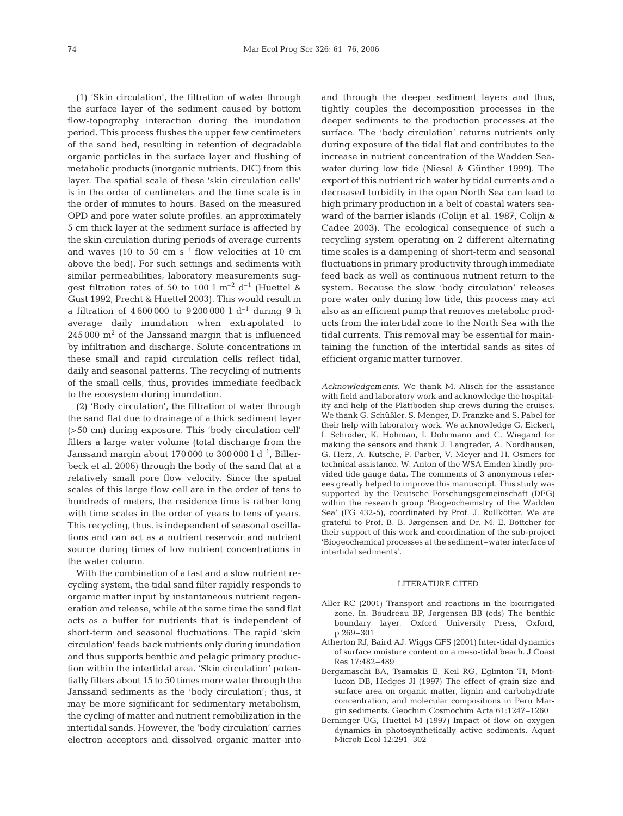(1) 'Skin circulation', the filtration of water through the surface layer of the sediment caused by bottom flow-topography interaction during the inundation period. This process flushes the upper few centimeters of the sand bed, resulting in retention of degradable organic particles in the surface layer and flushing of metabolic products (inorganic nutrients, DIC) from this layer. The spatial scale of these 'skin circulation cells' is in the order of centimeters and the time scale is in the order of minutes to hours. Based on the measured OPD and pore water solute profiles, an approximately 5 cm thick layer at the sediment surface is affected by the skin circulation during periods of average currents and waves (10 to 50 cm  $s^{-1}$  flow velocities at 10 cm above the bed). For such settings and sediments with similar permeabilities, laboratory measurements sugqest filtration rates of 50 to 100 l  $\text{m}^{-2}$  d<sup>-1</sup> (Huettel & Gust 1992, Precht & Huettel 2003). This would result in a filtration of  $4\,600\,000$  to  $9\,200\,000$  l d<sup>-1</sup> during 9 h average daily inundation when extrapolated to  $245000$  m<sup>2</sup> of the Janssand margin that is influenced by infiltration and discharge. Solute concentrations in these small and rapid circulation cells reflect tidal, daily and seasonal patterns. The recycling of nutrients of the small cells, thus, provides immediate feedback to the ecosystem during inundation.

(2) 'Body circulation', the filtration of water through the sand flat due to drainage of a thick sediment layer (>50 cm) during exposure. This 'body circulation cell' filters a large water volume (total discharge from the Janssand margin about 170 000 to 300 000 l  $d^{-1}$ , Billerbeck et al. 2006) through the body of the sand flat at a relatively small pore flow velocity. Since the spatial scales of this large flow cell are in the order of tens to hundreds of meters, the residence time is rather long with time scales in the order of years to tens of years. This recycling, thus, is independent of seasonal oscillations and can act as a nutrient reservoir and nutrient source during times of low nutrient concentrations in the water column.

With the combination of a fast and a slow nutrient recycling system, the tidal sand filter rapidly responds to organic matter input by instantaneous nutrient regeneration and release, while at the same time the sand flat acts as a buffer for nutrients that is independent of short-term and seasonal fluctuations. The rapid 'skin circulation' feeds back nutrients only during inundation and thus supports benthic and pelagic primary production within the intertidal area. 'Skin circulation' potentially filters about 15 to 50 times more water through the Janssand sediments as the 'body circulation'; thus, it may be more significant for sedimentary metabolism, the cycling of matter and nutrient remobilization in the intertidal sands. However, the 'body circulation' carries electron acceptors and dissolved organic matter into

and through the deeper sediment layers and thus, tightly couples the decomposition processes in the deeper sediments to the production processes at the surface. The 'body circulation' returns nutrients only during exposure of the tidal flat and contributes to the increase in nutrient concentration of the Wadden Seawater during low tide (Niesel & Günther 1999). The export of this nutrient rich water by tidal currents and a decreased turbidity in the open North Sea can lead to high primary production in a belt of coastal waters seaward of the barrier islands (Colijn et al. 1987, Colijn & Cadee 2003). The ecological consequence of such a recycling system operating on 2 different alternating time scales is a dampening of short-term and seasonal fluctuations in primary productivity through immediate feed back as well as continuous nutrient return to the system. Because the slow 'body circulation' releases pore water only during low tide, this process may act also as an efficient pump that removes metabolic products from the intertidal zone to the North Sea with the tidal currents. This removal may be essential for maintaining the function of the intertidal sands as sites of efficient organic matter turnover.

*Acknowledgements.* We thank M. Alisch for the assistance with field and laboratory work and acknowledge the hospitality and help of the Plattboden ship crews during the cruises. We thank G. Schüßler, S. Menger, D. Franzke and S. Pabel for their help with laboratory work. We acknowledge G. Eickert, I. Schröder, K. Hohman, I. Dohrmann and C. Wiegand for making the sensors and thank J. Langreder, A. Nordhausen, G. Herz, A. Kutsche, P. Färber, V. Meyer and H. Osmers for technical assistance. W. Anton of the WSA Emden kindly provided tide gauge data. The comments of 3 anonymous referees greatly helped to improve this manuscript. This study was supported by the Deutsche Forschungsgemeinschaft (DFG) within the research group 'Biogeochemistry of the Wadden Sea' (FG 432-5), coordinated by Prof. J. Rullkötter. We are grateful to Prof. B. B. Jørgensen and Dr. M. E. Böttcher for their support of this work and coordination of the sub-project 'Biogeochemical processes at the sediment–water interface of intertidal sediments'.

#### LITERATURE CITED

- Aller RC (2001) Transport and reactions in the bioirrigated zone. In: Boudreau BP, Jørgensen BB (eds) The benthic boundary layer. Oxford University Press, Oxford, p 269–301
- Atherton RJ, Baird AJ, Wiggs GFS (2001) Inter-tidal dynamics of surface moisture content on a meso-tidal beach. J Coast Res 17:482–489
- Bergamaschi BA, Tsamakis E, Keil RG, Eglinton TI, Montlucon DB, Hedges JI (1997) The effect of grain size and surface area on organic matter, lignin and carbohydrate concentration, and molecular compositions in Peru Margin sediments. Geochim Cosmochim Acta 61:1247–1260
- Berninger UG, Huettel M (1997) Impact of flow on oxygen dynamics in photosynthetically active sediments. Aquat Microb Ecol 12:291–302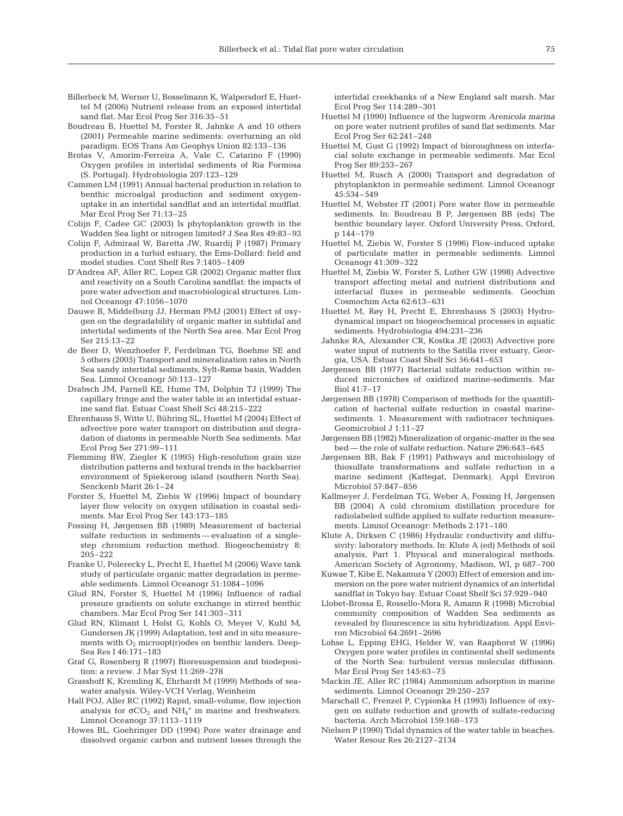- Billerbeck M, Werner U, Bosselmann K, Walpersdorf E, Huettel M (2006) Nutrient release from an exposed intertidal sand flat. Mar Ecol Prog Ser 316:35–51
- Boudreau B, Huettel M, Forster R, Jahnke A and 10 others (2001) Permeable marine sediments: overturning an old paradigm. EOS Trans Am Geophys Union 82:133–136
- Brotas V, Amorim-Ferreira A, Vale C, Catarino F (1990) Oxygen profiles in intertidal sediments of Ria Formosa (S. Portugal). Hydrobiologia 207:123–129
- Cammen LM (1991) Annual bacterial production in relation to benthic microalgal production and sediment oxygenuptake in an intertidal sandflat and an intertidal mudflat. Mar Ecol Prog Ser 71:13–25
- Colijn F, Cadee GC (2003) Is phytoplankton growth in the Wadden Sea light or nitrogen limited? J Sea Res 49:83–93
- Colijn F, Admiraal W, Baretta JW, Ruardij P (1987) Primary production in a turbid estuary, the Ems-Dollard: field and model studies. Cont Shelf Res 7:1405–1409
- D'Andrea AF, Aller RC, Lopez GR (2002) Organic matter flux and reactivity on a South Carolina sandflat: the impacts of pore water advection and macrobiological structures. Limnol Oceanogr 47:1056–1070
- Dauwe B, Middelburg JJ, Herman PMJ (2001) Effect of oxygen on the degradability of organic matter in subtidal and intertidal sediments of the North Sea area. Mar Ecol Prog Ser 215:13–22
- de Beer D, Wenzhoefer F, Ferdelman TG, Boehme SE and 5 others (2005) Transport and mineralization rates in North Sea sandy intertidal sediments, Sylt-Rømø basin, Wadden Sea. Limnol Oceanogr 50:113–127
- Drabsch JM, Parnell KE, Hume TM, Dolphin TJ (1999) The capillary fringe and the water table in an intertidal estuarine sand flat. Estuar Coast Shelf Sci 48:215–222
- Ehrenhauss S, Witte U, Bühring SL, Huettel M (2004) Effect of advective pore water transport on distribution and degradation of diatoms in permeable North Sea sediments. Mar Ecol Prog Ser 271:99–111
- Flemming BW, Ziegler K (1995) High-resolution grain size distribution patterns and textural trends in the backbarrier environment of Spiekeroog island (southern North Sea). Senckenb Marit 26:1–24
- Forster S, Huettel M, Ziebis W (1996) Impact of boundary layer flow velocity on oxygen utilisation in coastal sediments. Mar Ecol Prog Ser 143:173–185
- Fossing H, Jørgensen BB (1989) Measurement of bacterial sulfate reduction in sediments — evaluation of a singlestep chromium reduction method. Biogeochemistry 8: 205–222
- Franke U, Polerecky L, Precht E, Huettel M (2006) Wave tank study of particulate organic matter degradation in permeable sediments. Limnol Oceanogr 51:1084–1096
- Glud RN, Forster S, Huettel M (1996) Influence of radial pressure gradients on solute exchange in stirred benthic chambers. Mar Ecol Prog Ser 141:303–311
- Glud RN, Klimant I, Holst G, Kohls O, Meyer V, Kuhl M, Gundersen JK (1999) Adaptation, test and in situ measurements with  $O_2$  microopt(r)odes on benthic landers. Deep-Sea Res I 46:171–183
- Graf G, Rosenberg R (1997) Bioresuspension and biodeposition: a review. J Mar Syst 11:269–278
- Grasshoff K, Kremling K, Ehrhardt M (1999) Methods of seawater analysis. Wiley-VCH Verlag, Weinheim
- Hall POJ, Aller RC (1992) Rapid, small-volume, flow injection analysis for  $\sigma CO_2$  and  $NH_4^+$  in marine and freshwaters. Limnol Oceanogr 37:1113–1119
- Howes BL, Goehringer DD (1994) Pore water drainage and dissolved organic carbon and nutrient losses through the

intertidal creekbanks of a New England salt marsh. Mar Ecol Prog Ser 114:289–301

- Huettel M (1990) Influence of the lugworm *Arenicola marina* on pore water nutrient profiles of sand flat sediments. Mar Ecol Prog Ser 62:241–248
- Huettel M, Gust G (1992) Impact of bioroughness on interfacial solute exchange in permeable sediments. Mar Ecol Prog Ser 89:253–267
- Huettel M, Rusch A (2000) Transport and degradation of phytoplankton in permeable sediment. Limnol Oceanogr 45:534–549
- Huettel M, Webster IT (2001) Pore water flow in permeable sediments. In: Boudreau B P, Jørgensen BB (eds) The benthic boundary layer. Oxford University Press, Oxford, p 144–179
- Huettel M, Ziebis W, Forster S (1996) Flow-induced uptake of particulate matter in permeable sediments. Limnol Oceanogr 41:309–322
- Huettel M, Ziebis W, Forster S, Luther GW (1998) Advective transport affecting metal and nutrient distributions and interfacial fluxes in permeable sediments. Geochim Cosmochim Acta 62:613–631
- Huettel M, Røy H, Precht E, Ehrenhauss S (2003) Hydrodynamical impact on biogeochemical processes in aquatic sediments. Hydrobiologia 494:231–236
- Jahnke RA, Alexander CR, Kostka JE (2003) Advective pore water input of nutrients to the Satilla river estuary, Georgia, USA. Estuar Coast Shelf Sci 56:641–653
- Jørgensen BB (1977) Bacterial sulfate reduction within reduced microniches of oxidized marine-sediments. Mar Biol 41:7–17
- Jørgensen BB (1978) Comparison of methods for the quantification of bacterial sulfate reduction in coastal marinesediments. 1. Measurement with radiotracer techniques. Geomicrobiol J 1:11–27
- Jørgensen BB (1982) Mineralization of organic-matter in the sea bed — the role of sulfate reduction. Nature 296:643–645
- Jørgensen BB, Bak F (1991) Pathways and microbiology of thiosulfate transformations and sulfate reduction in a marine sediment (Kattegat, Denmark). Appl Environ Microbiol 57:847–856
- Kallmeyer J, Ferdelman TG, Weber A, Fossing H, Jørgensen BB (2004) A cold chromium distillation procedure for radiolabeled sulfide applied to sulfate reduction measurements. Limnol Oceanogr: Methods 2:171–180
- Klute A, Dirksen C (1986) Hydraulic conductivity and diffusivity: laboratory methods. In: Klute A (ed) Methods of soil analysis, Part 1. Physical and mineralogical methods. American Society of Agronomy, Madison, WI, p 687–700
- Kuwae T, Kibe E, Nakamura Y (2003) Effect of emersion and immersion on the pore water nutrient dynamics of an intertidal sandflat in Tokyo bay. Estuar Coast Shelf Sci 57:929–940
- Llobet-Brossa E, Rossello-Mora R, Amann R (1998) Microbial community composition of Wadden Sea sediments as revealed by flourescence in situ hybridization. Appl Environ Microbiol 64:2691–2696
- Lohse L, Epping EHG, Helder W, van Raaphorst W (1996) Oxygen pore water profiles in continental shelf sediments of the North Sea: turbulent versus molecular diffusion. Mar Ecol Prog Ser 145:63–75
- Mackin JE, Aller RC (1984) Ammonium adsorption in marine sediments. Limnol Oceanogr 29:250–257
- Marschall C, Frenzel P, Cypionka H (1993) Influence of oxygen on sulfate reduction and growth of sulfate-reducing bacteria. Arch Microbiol 159:168–173
- Nielsen P (1990) Tidal dynamics of the water table in beaches. Water Resour Res 26:2127–2134